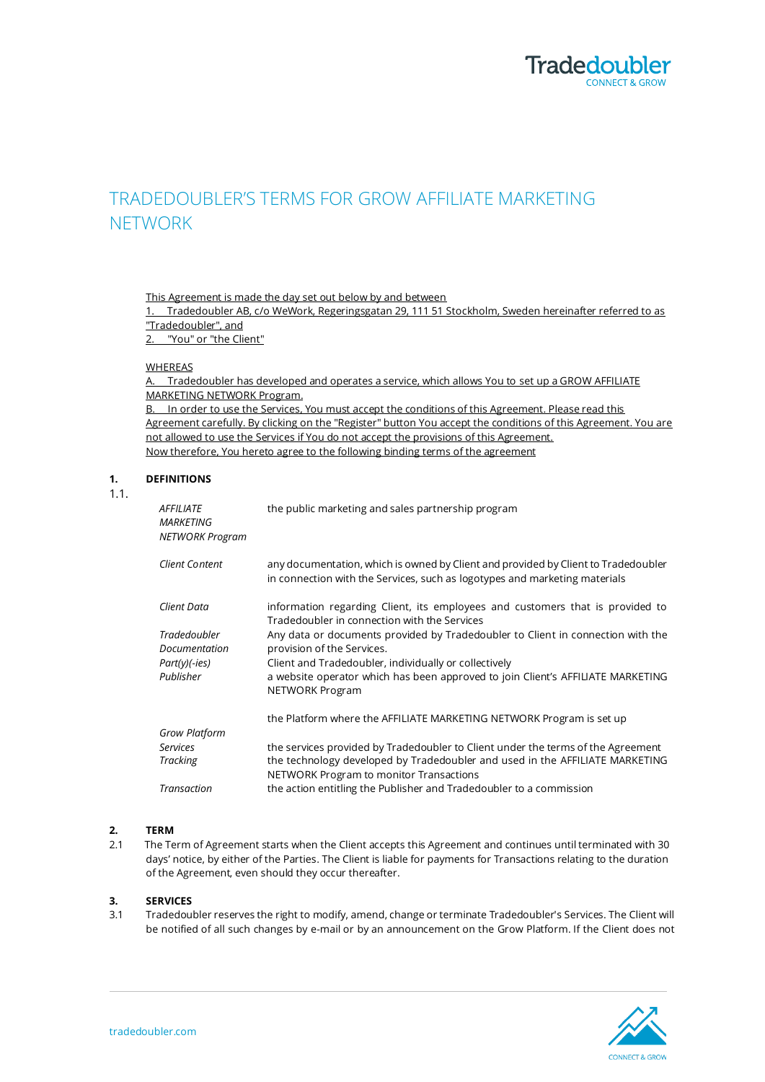

# TRADEDOUBLER'S TERMS FOR GROW AFFILIATE MARKETING NETWORK

This Agreement is made the day set out below by and between

1. Tradedoubler AB, c/o WeWork, Regeringsgatan 29, 111 51 Stockholm, Sweden hereinafter referred to as "Tradedoubler", and

2. "You" or "the Client"

## WHEREAS

A. Tradedoubler has developed and operates a service, which allows You to set up a GROW AFFILIATE MARKETING NETWORK Program.

B. In order to use the Services, You must accept the conditions of this Agreement. Please read this Agreement carefully. By clicking on the "Register" button You accept the conditions of this Agreement. You are not allowed to use the Services if You do not accept the provisions of this Agreement. Now therefore, You hereto agree to the following binding terms of the agreement

# **1. DEFINITIONS**

1.1.

| AFFILIATE<br>MARKETING<br>NETWORK Program | the public marketing and sales partnership program                                                                                                               |
|-------------------------------------------|------------------------------------------------------------------------------------------------------------------------------------------------------------------|
| Client Content                            | any documentation, which is owned by Client and provided by Client to Tradedoubler<br>in connection with the Services, such as logotypes and marketing materials |
| Client Data                               | information regarding Client, its employees and customers that is provided to<br>Tradedoubler in connection with the Services                                    |
| Tradedoubler                              | Any data or documents provided by Tradedoubler to Client in connection with the                                                                                  |
| Documentation                             | provision of the Services.                                                                                                                                       |
| Part(y)(-ies)                             | Client and Tradedoubler, individually or collectively                                                                                                            |
| Publisher                                 | a website operator which has been approved to join Client's AFFILIATE MARKETING<br>NETWORK Program                                                               |
|                                           | the Platform where the AFFILIATE MARKETING NETWORK Program is set up                                                                                             |
| <b>Grow Platform</b>                      |                                                                                                                                                                  |
| Services                                  | the services provided by Tradedoubler to Client under the terms of the Agreement                                                                                 |
| Tracking                                  | the technology developed by Tradedoubler and used in the AFFILIATE MARKETING<br>NETWORK Program to monitor Transactions                                          |
| Transaction                               | the action entitling the Publisher and Tradedoubler to a commission                                                                                              |
|                                           |                                                                                                                                                                  |

# **2. TERM**

2.1 The Term of Agreement starts when the Client accepts this Agreement and continues until terminated with 30 days' notice, by either of the Parties. The Client is liable for payments for Transactions relating to the duration of the Agreement, even should they occur thereafter.

## **3. SERVICES**

3.1 Tradedoubler reserves the right to modify, amend, change or terminate Tradedoubler's Services. The Client will be notified of all such changes by e-mail or by an announcement on the Grow Platform. If the Client does not

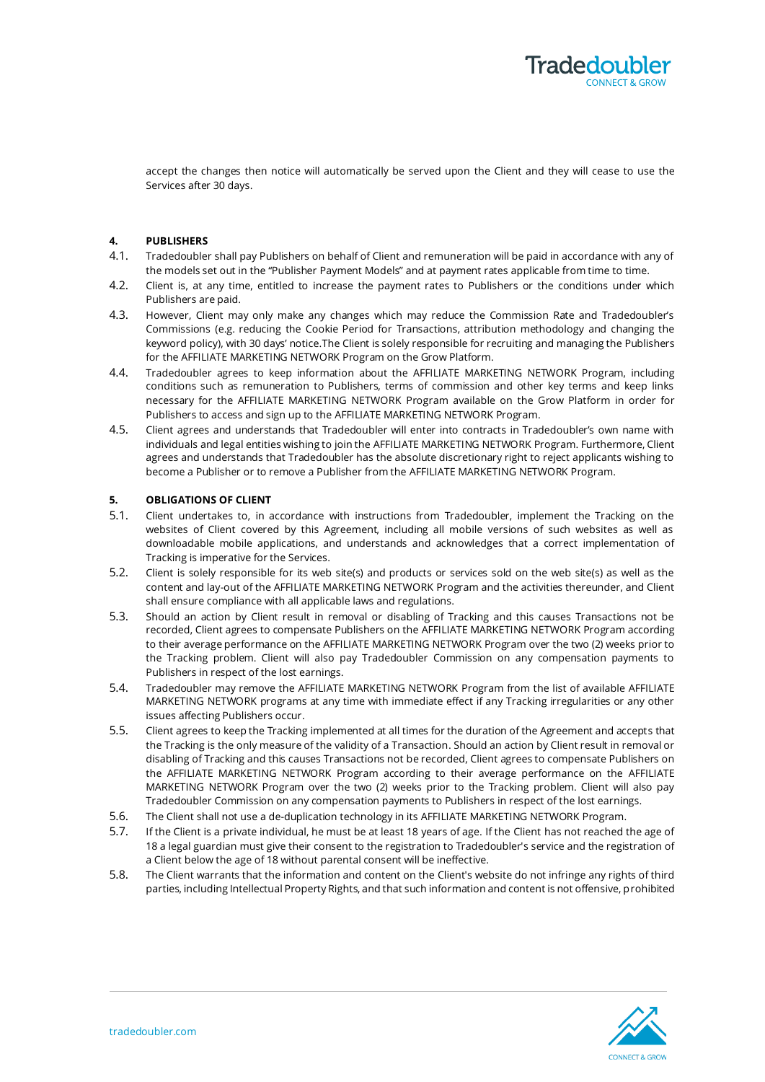

accept the changes then notice will automatically be served upon the Client and they will cease to use the Services after 30 days.

## **4. PUBLISHERS**

- 4.1. Tradedoubler shall pay Publishers on behalf of Client and remuneration will be paid in accordance with any of the models set out in the "Publisher Payment Models" and at payment rates applicable from time to time.
- 4.2. Client is, at any time, entitled to increase the payment rates to Publishers or the conditions under which Publishers are paid.
- 4.3. However, Client may only make any changes which may reduce the Commission Rate and Tradedoubler's Commissions (e.g. reducing the Cookie Period for Transactions, attribution methodology and changing the keyword policy), with 30 days' notice.The Client is solely responsible for recruiting and managing the Publishers for the AFFILIATE MARKETING NETWORK Program on the Grow Platform.
- 4.4. Tradedoubler agrees to keep information about the AFFILIATE MARKETING NETWORK Program, including conditions such as remuneration to Publishers, terms of commission and other key terms and keep links necessary for the AFFILIATE MARKETING NETWORK Program available on the Grow Platform in order for Publishers to access and sign up to the AFFILIATE MARKETING NETWORK Program.
- 4.5. Client agrees and understands that Tradedoubler will enter into contracts in Tradedoubler's own name with individuals and legal entities wishing to join the AFFILIATE MARKETING NETWORK Program. Furthermore, Client agrees and understands that Tradedoubler has the absolute discretionary right to reject applicants wishing to become a Publisher or to remove a Publisher from the AFFILIATE MARKETING NETWORK Program.

# **5. OBLIGATIONS OF CLIENT**

- 5.1. Client undertakes to, in accordance with instructions from Tradedoubler, implement the Tracking on the websites of Client covered by this Agreement, including all mobile versions of such websites as well as downloadable mobile applications, and understands and acknowledges that a correct implementation of Tracking is imperative for the Services.
- 5.2. Client is solely responsible for its web site(s) and products or services sold on the web site(s) as well as the content and lay-out of the AFFILIATE MARKETING NETWORK Program and the activities thereunder, and Client shall ensure compliance with all applicable laws and regulations.
- 5.3. Should an action by Client result in removal or disabling of Tracking and this causes Transactions not be recorded, Client agrees to compensate Publishers on the AFFILIATE MARKETING NETWORK Program according to their average performance on the AFFILIATE MARKETING NETWORK Program over the two (2) weeks prior to the Tracking problem. Client will also pay Tradedoubler Commission on any compensation payments to Publishers in respect of the lost earnings.
- 5.4. Tradedoubler may remove the AFFILIATE MARKETING NETWORK Program from the list of available AFFILIATE MARKETING NETWORK programs at any time with immediate effect if any Tracking irregularities or any other issues affecting Publishers occur.
- 5.5. Client agrees to keep the Tracking implemented at all times for the duration of the Agreement and accepts that the Tracking is the only measure of the validity of a Transaction. Should an action by Client result in removal or disabling of Tracking and this causes Transactions not be recorded, Client agrees to compensate Publishers on the AFFILIATE MARKETING NETWORK Program according to their average performance on the AFFILIATE MARKETING NETWORK Program over the two (2) weeks prior to the Tracking problem. Client will also pay Tradedoubler Commission on any compensation payments to Publishers in respect of the lost earnings.
- 5.6. The Client shall not use a de-duplication technology in its AFFILIATE MARKETING NETWORK Program.
- 5.7. If the Client is a private individual, he must be at least 18 years of age. If the Client has not reached the age of 18 a legal guardian must give their consent to the registration to Tradedoubler's service and the registration of a Client below the age of 18 without parental consent will be ineffective.
- 5.8. The Client warrants that the information and content on the Client's website do not infringe any rights of third parties, including Intellectual Property Rights, and that such information and content is not offensive, prohibited

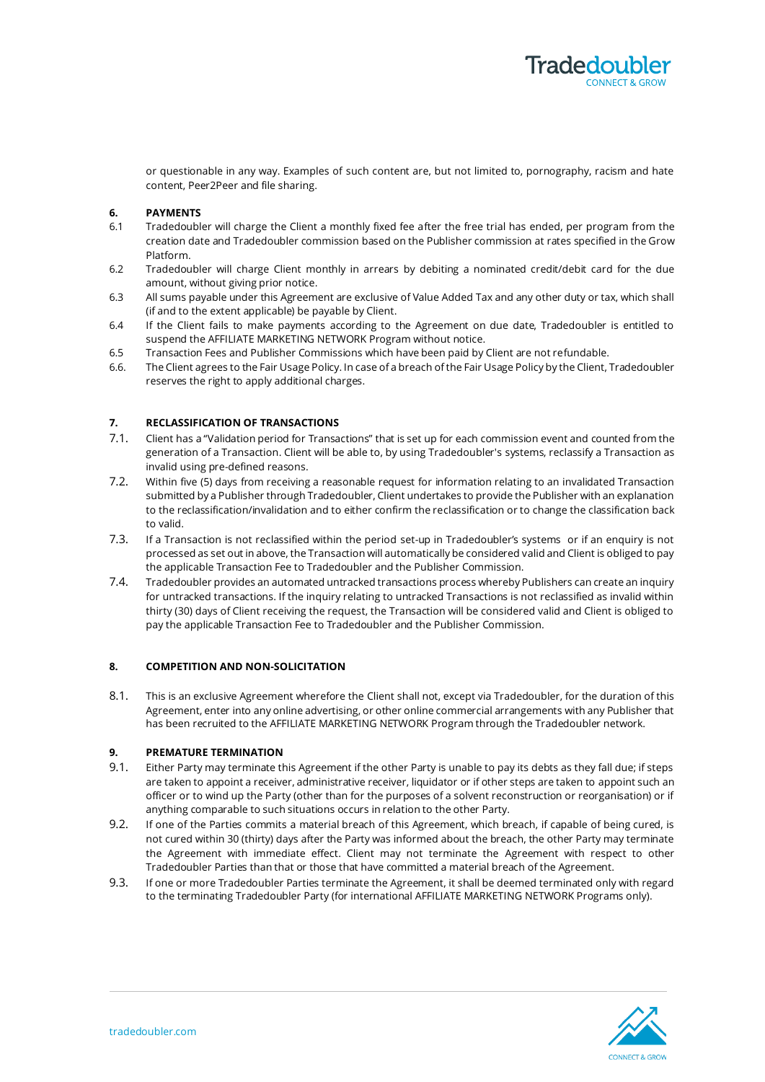

or questionable in any way. Examples of such content are, but not limited to, pornography, racism and hate content, Peer2Peer and file sharing.

# **6. PAYMENTS**

- 6.1 Tradedoubler will charge the Client a monthly fixed fee after the free trial has ended, per program from the creation date and Tradedoubler commission based on the Publisher commission at rates specified in the Grow Platform.
- 6.2 Tradedoubler will charge Client monthly in arrears by debiting a nominated credit/debit card for the due amount, without giving prior notice.
- 6.3 All sums payable under this Agreement are exclusive of Value Added Tax and any other duty or tax, which shall (if and to the extent applicable) be payable by Client.
- 6.4 If the Client fails to make payments according to the Agreement on due date, Tradedoubler is entitled to suspend the AFFILIATE MARKETING NETWORK Program without notice.
- 6.5 Transaction Fees and Publisher Commissions which have been paid by Client are not refundable.
- 6.6. The Client agrees to the Fair Usage Policy. In case of a breach ofthe Fair Usage Policy by the Client, Tradedoubler reserves the right to apply additional charges.

# **7. RECLASSIFICATION OF TRANSACTIONS**

- 7.1. Client has a "Validation period for Transactions" that is set up for each commission event and counted from the generation of a Transaction. Client will be able to, by using Tradedoubler's systems, reclassify a Transaction as invalid using pre-defined reasons.
- 7.2. Within five (5) days from receiving a reasonable request for information relating to an invalidated Transaction submitted by a Publisher through Tradedoubler, Client undertakes to provide the Publisher with an explanation to the reclassification/invalidation and to either confirm the reclassification or to change the classification back to valid.
- 7.3. If a Transaction is not reclassified within the period set-up in Tradedoubler's systems or if an enquiry is not processed as set out in above, the Transaction will automatically be considered valid and Client is obliged to pay the applicable Transaction Fee to Tradedoubler and the Publisher Commission.
- 7.4. Tradedoubler provides an automated untracked transactions process whereby Publishers can create an inquiry for untracked transactions. If the inquiry relating to untracked Transactions is not reclassified as invalid within thirty (30) days of Client receiving the request, the Transaction will be considered valid and Client is obliged to pay the applicable Transaction Fee to Tradedoubler and the Publisher Commission.

# **8. COMPETITION AND NON-SOLICITATION**

8.1. This is an exclusive Agreement wherefore the Client shall not, except via Tradedoubler, for the duration of this Agreement, enter into any online advertising, or other online commercial arrangements with any Publisher that has been recruited to the AFFILIATE MARKETING NETWORK Program through the Tradedoubler network.

## **9. PREMATURE TERMINATION**

- 9.1. Either Party may terminate this Agreement if the other Party is unable to pay its debts as they fall due; if steps are taken to appoint a receiver, administrative receiver, liquidator or if other steps are taken to appoint such an officer or to wind up the Party (other than for the purposes of a solvent reconstruction or reorganisation) or if anything comparable to such situations occurs in relation to the other Party.
- 9.2. If one of the Parties commits a material breach of this Agreement, which breach, if capable of being cured, is not cured within 30 (thirty) days after the Party was informed about the breach, the other Party may terminate the Agreement with immediate effect. Client may not terminate the Agreement with respect to other Tradedoubler Parties than that or those that have committed a material breach of the Agreement.
- 9.3. If one or more Tradedoubler Parties terminate the Agreement, it shall be deemed terminated only with regard to the terminating Tradedoubler Party (for international AFFILIATE MARKETING NETWORK Programs only).

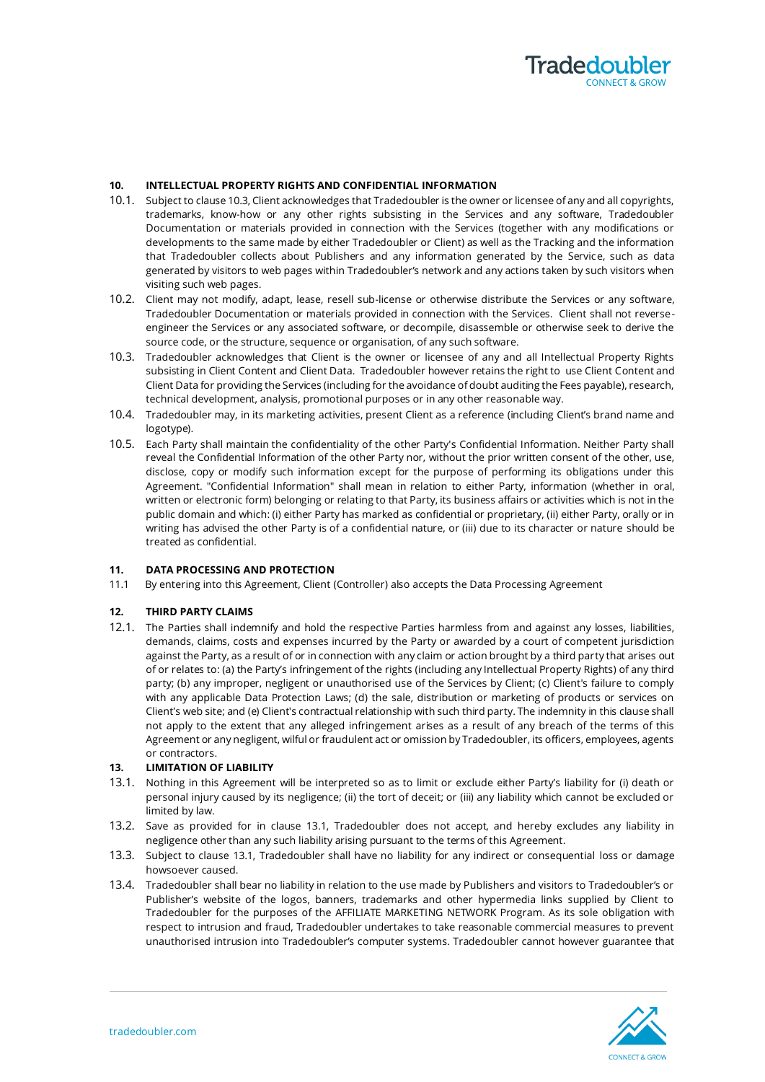

## **10. INTELLECTUAL PROPERTY RIGHTS AND CONFIDENTIAL INFORMATION**

- 10.1. Subject to clause 10.3, Client acknowledges that Tradedoubler is the owner or licensee of any and all copyrights, trademarks, know-how or any other rights subsisting in the Services and any software, Tradedoubler Documentation or materials provided in connection with the Services (together with any modifications or developments to the same made by either Tradedoubler or Client) as well as the Tracking and the information that Tradedoubler collects about Publishers and any information generated by the Service, such as data generated by visitors to web pages within Tradedoubler's network and any actions taken by such visitors when visiting such web pages.
- 10.2. Client may not modify, adapt, lease, resell sub-license or otherwise distribute the Services or any software, Tradedoubler Documentation or materials provided in connection with the Services. Client shall not reverseengineer the Services or any associated software, or decompile, disassemble or otherwise seek to derive the source code, or the structure, sequence or organisation, of any such software.
- 10.3. Tradedoubler acknowledges that Client is the owner or licensee of any and all Intellectual Property Rights subsisting in Client Content and Client Data. Tradedoubler however retains the right to use Client Content and Client Data for providing the Services (including for the avoidance of doubt auditing the Fees payable), research, technical development, analysis, promotional purposes or in any other reasonable way.
- 10.4. Tradedoubler may, in its marketing activities, present Client as a reference (including Client's brand name and logotype).
- 10.5. Each Party shall maintain the confidentiality of the other Party's Confidential Information. Neither Party shall reveal the Confidential Information of the other Party nor, without the prior written consent of the other, use, disclose, copy or modify such information except for the purpose of performing its obligations under this Agreement. "Confidential Information" shall mean in relation to either Party, information (whether in oral, written or electronic form) belonging or relating to that Party, its business affairs or activities which is not in the public domain and which: (i) either Party has marked as confidential or proprietary, (ii) either Party, orally or in writing has advised the other Party is of a confidential nature, or (iii) due to its character or nature should be treated as confidential.

# **11. DATA PROCESSING AND PROTECTION**

11.1 By entering into this Agreement, Client (Controller) also accepts the Data Processing Agreement

#### **12. THIRD PARTY CLAIMS**

12.1. The Parties shall indemnify and hold the respective Parties harmless from and against any losses, liabilities, demands, claims, costs and expenses incurred by the Party or awarded by a court of competent jurisdiction against the Party, as a result of or in connection with any claim or action brought by a third party that arises out of or relates to: (a) the Party's infringement of the rights (including any Intellectual Property Rights) of any third party; (b) any improper, negligent or unauthorised use of the Services by Client; (c) Client's failure to comply with any applicable Data Protection Laws; (d) the sale, distribution or marketing of products or services on Client's web site; and (e) Client's contractual relationship with such third party. The indemnity in this clause shall not apply to the extent that any alleged infringement arises as a result of any breach of the terms of this Agreement or any negligent, wilful or fraudulent act or omission by Tradedoubler, its officers, employees, agents or contractors.

# **13. LIMITATION OF LIABILITY**

- 13.1. Nothing in this Agreement will be interpreted so as to limit or exclude either Party's liability for (i) death or personal injury caused by its negligence; (ii) the tort of deceit; or (iii) any liability which cannot be excluded or limited by law.
- 13.2. Save as provided for in clause 13.1, Tradedoubler does not accept, and hereby excludes any liability in negligence other than any such liability arising pursuant to the terms of this Agreement.
- 13.3. Subject to clause 13.1, Tradedoubler shall have no liability for any indirect or consequential loss or damage howsoever caused.
- 13.4. Tradedoubler shall bear no liability in relation to the use made by Publishers and visitors to Tradedoubler's or Publisher's website of the logos, banners, trademarks and other hypermedia links supplied by Client to Tradedoubler for the purposes of the AFFILIATE MARKETING NETWORK Program. As its sole obligation with respect to intrusion and fraud, Tradedoubler undertakes to take reasonable commercial measures to prevent unauthorised intrusion into Tradedoubler's computer systems. Tradedoubler cannot however guarantee that